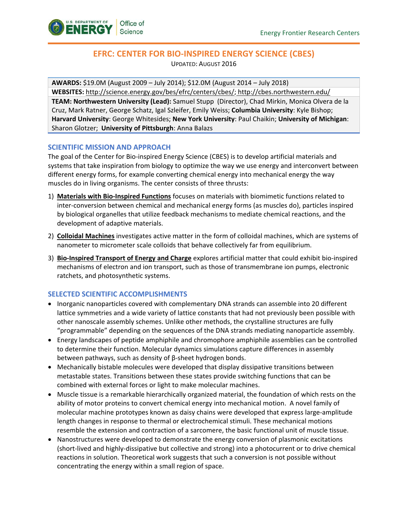

# **EFRC: CENTER FOR BIO-INSPIRED ENERGY SCIENCE (CBES)**

UPDATED: AUGUST 2016

**AWARDS:** \$19.0M (August 2009 – July 2014); \$12.0M (August 2014 – July 2018) **WEBSITES:** [http://science.energy.gov/bes/efrc/centers/cbes/;](http://science.energy.gov/bes/efrc/centers/cbes/) <http://cbes.northwestern.edu/> **TEAM: Northwestern University (Lead):** Samuel Stupp (Director), Chad Mirkin, Monica Olvera de la Cruz, Mark Ratner, George Schatz, Igal Szleifer, Emily Weiss; **Columbia University**: Kyle Bishop; **Harvard University**: George Whitesides; **New York University**: Paul Chaikin; **University of Michigan**: Sharon Glotzer; **University of Pittsburgh**: Anna Balazs

### **SCIENTIFIC MISSION AND APPROACH**

The goal of the Center for Bio-inspired Energy Science (CBES) is to develop artificial materials and systems that take inspiration from biology to optimize the way we use energy and interconvert between different energy forms, for example converting chemical energy into mechanical energy the way muscles do in living organisms. The center consists of three thrusts:

- 1) **Materials with Bio-Inspired Functions** focuses on materials with biomimetic functions related to inter-conversion between chemical and mechanical energy forms (as muscles do), particles inspired by biological organelles that utilize feedback mechanisms to mediate chemical reactions, and the development of adaptive materials.
- 2) **Colloidal Machines** investigates active matter in the form of colloidal machines, which are systems of nanometer to micrometer scale colloids that behave collectively far from equilibrium.
- 3) **Bio-Inspired Transport of Energy and Charge** explores artificial matter that could exhibit bio-inspired mechanisms of electron and ion transport, such as those of transmembrane ion pumps, electronic ratchets, and photosynthetic systems.

# **SELECTED SCIENTIFIC ACCOMPLISHMENTS**

- Inorganic nanoparticles covered with complementary DNA strands can assemble into 20 different lattice symmetries and a wide variety of lattice constants that had not previously been possible with other nanoscale assembly schemes. Unlike other methods, the crystalline structures are fully "programmable" depending on the sequences of the DNA strands mediating nanoparticle assembly.
- Energy landscapes of peptide amphiphile and chromophore amphiphile assemblies can be controlled to determine their function. Molecular dynamics simulations capture differences in assembly between pathways, such as density of β-sheet hydrogen bonds.
- Mechanically bistable molecules were developed that display dissipative transitions between metastable states. Transitions between these states provide switching functions that can be combined with external forces or light to make molecular machines.
- Muscle tissue is a remarkable hierarchically organized material, the foundation of which rests on the ability of motor proteins to convert chemical energy into mechanical motion. A novel family of molecular machine prototypes known as daisy chains were developed that express large-amplitude length changes in response to thermal or electrochemical stimuli. These mechanical motions resemble the extension and contraction of a sarcomere, the basic functional unit of muscle tissue.
- Nanostructures were developed to demonstrate the energy conversion of plasmonic excitations (short-lived and highly-dissipative but collective and strong) into a photocurrent or to drive chemical reactions in solution. Theoretical work suggests that such a conversion is not possible without concentrating the energy within a small region of space.